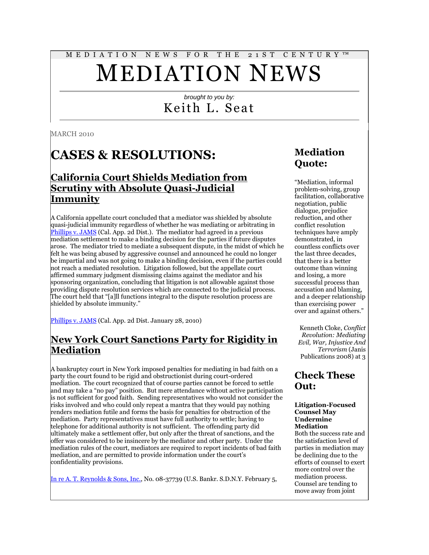# M E D I A T I O N N E W S F O R T H E 2 1 S T C E N T U R Y ™ MEDIATION NEWS

#### *brought to you by:* Keith L. Seat

MARCH 2010

# **CASES & RESOLUTIONS:**

#### **California Court Shields Mediation from Scrutiny with Absolute Quasi-Judicial Immunity**

A California appellate court concluded that a mediator was shielded by absolute quasi-judicial immunity regardless of whether he was mediating or arbitrating in [Phillips v. JAMS](http://www.courtinfo.ca.gov/opinions/nonpub/B209780.PDF) (Cal. App. 2d Dist.). The mediator had agreed in a previous mediation settlement to make a binding decision for the parties if future disputes arose. The mediator tried to mediate a subsequent dispute, in the midst of which he felt he was being abused by aggressive counsel and announced he could no longer be impartial and was not going to make a binding decision, even if the parties could not reach a mediated resolution. Litigation followed, but the appellate court affirmed summary judgment dismissing claims against the mediator and his sponsoring organization, concluding that litigation is not allowable against those providing dispute resolution services which are connected to the judicial process. The court held that "[a]ll functions integral to the dispute resolution process are shielded by absolute immunity."

[Phillips v. JAMS](http://www.courtinfo.ca.gov/opinions/nonpub/B209780.PDF) (Cal. App. 2d Dist. January 28, 2010)

#### **New York Court Sanctions Party for Rigidity in Mediation**

A bankruptcy court in New York imposed penalties for mediating in bad faith on a party the court found to be rigid and obstructionist during court-ordered mediation. The court recognized that of course parties cannot be forced to settle and may take a "no pay" position. But mere attendance without active participation is not sufficient for good faith. Sending representatives who would not consider the risks involved and who could only repeat a mantra that they would pay nothing renders mediation futile and forms the basis for penalties for obstruction of the mediation. Party representatives must have full authority to settle; having to telephone for additional authority is not sufficient. The offending party did ultimately make a settlement offer, but only after the threat of sanctions, and the offer was considered to be insincere by the mediator and other party. Under the mediation rules of the court, mediators are required to report incidents of bad faith mediation, and are permitted to provide information under the court's confidentiality provisions.

[In re A. T. Reynolds & Sons, Inc.,](http://www.nysb.uscourts.gov/opinions/cgm/174187_249_opinion.pdf) No. 08-37739 (U.S. Bankr. S.D.N.Y. February 5,

### **Mediation Quote:**

"Mediation, informal problem-solving, group facilitation, collaborative negotiation, public dialogue, prejudice reduction, and other conflict resolution techniques have amply demonstrated, in countless conflicts over the last three decades, that there is a better outcome than winning and losing, a more successful process than accusation and blaming, and a deeper relationship than exercising power over and against others."

Kenneth Cloke, *Conflict Revolution: Mediating Evil, War, Injustice And Terrorism* (Janis Publications 2008) at 3

#### **Check These Out:**

#### **Litigation-Focused Counsel May Undermine Mediation**

Both the success rate and the satisfaction level of parties in mediation may be declining due to the efforts of counsel to exert more control over the mediation process. Counsel are tending to move away from joint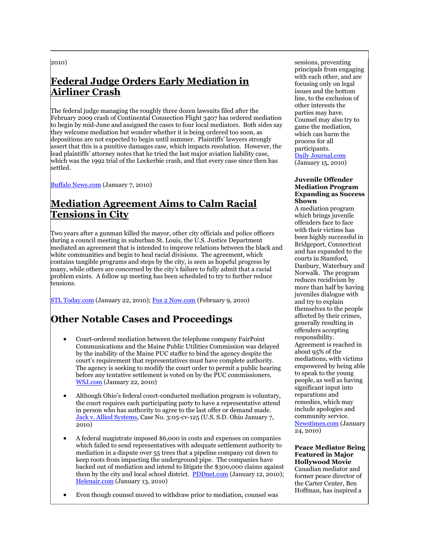2010)

# **Federal Judge Orders Early Mediation in Airliner Crash**

The federal judge managing the roughly three dozen lawsuits filed after the February 2009 crash of Continental Connection Flight 3407 has ordered mediation to begin by mid-June and assigned the cases to four local mediators. Both sides say they welcome mediation but wonder whether it is being ordered too soon, as depositions are not expected to begin until summer. Plaintiffs' lawyers strongly assert that this is a punitive damages case, which impacts resolution. However, the lead plaintiffs' attorney notes that he tried the last major aviation liability case, which was the 1992 trial of the Lockerbie crash, and that every case since then has settled.

[Buffalo News.com](http://www.buffalonews.com/home/story/915848.html) (January 7, 2010)

#### **Mediation Agreement Aims to Calm Racial Tensions in City**

Two years after a gunman killed the mayor, other city officials and police officers during a council meeting in suburban St. Louis, the U.S. Justice Department mediated an agreement that is intended to improve relations between the black and white communities and begin to heal racial divisions. The agreement, which contains tangible programs and steps by the city, is seen as hopeful progress by many, while others are concerned by the city's failure to fully admit that a racial problem exists. A follow up meeting has been scheduled to try to further reduce tensions.

[STL Today.com](http://tinyurl.com/yadk72x) (January 22, 2010)[; Fox 2 Now.com](http://www.fox2now.com/news/sns-ap-mo--kirkwood-racerelations,0,6762079.story) (February 9, 2010)

# **Other Notable Cases and Proceedings**

- Court-ordered mediation between the telephone company FairPoint Communications and the Maine Public Utilities Commission was delayed by the inability of the Maine PUC staffer to bind the agency despite the court's requirement that representatives must have complete authority. The agency is seeking to modify the court order to permit a public hearing before any tentative settlement is voted on by the PUC commissioners. [WSJ.com](http://tinyurl.com/ycfthvc) (January 22, 2010)
- Although Ohio's federal court-conducted mediation program is voluntary, the court requires each participating party to have a representative attend in person who has authority to agree to the last offer or demand made. [Jack v. Allied Systems,](http://tinyurl.com/ylyhoeb) Case No. 3:05-cv-125 (U.S. S.D. Ohio January 7, 2010)
- A federal magistrate imposed \$6,000 in costs and expenses on companies which failed to send representatives with adequate settlement authority to mediation in a dispute over 55 trees that a pipeline company cut down to keep roots from impacting the underground pipe. The companies have backed out of mediation and intend to litigate the \$300,000 claims against them by the city and local school district. [PDDnet.com](http://tinyurl.com/yzj79or) (January 12, 2010); [Helenair.com](http://tinyurl.com/yeqb795) (January 13, 2010)

Even though counsel moved to withdraw prior to mediation, counsel was

sessions, preventing principals from engaging with each other, and are focusing only on legal issues and the bottom line, to the exclusion of other interests the parties may have. Counsel may also try to game the mediation, which can harm the process for all participants. [Daily Journal.com](http://adjmediator.wordpress.com/2010/02/19/who-took-the-me-out-of-mediation/)

(January 15, 2010)

#### **Juvenile Offender Mediation Program Expanding as Success Shown**

A mediation program which brings juvenile offenders face to face with their victims has been highly successful in Bridgeport, Connecticut and has expanded to the courts in Stamford, Danbury, Waterbury and Norwalk. The program reduces recidivism by more than half by having juveniles dialogue with and try to explain themselves to the people affected by their crimes, generally resulting in offenders accepting responsibility. Agreement is reached in about 95% of the mediations, with victims empowered by being able to speak to the young people, as well as having significant input into reparations and remedies, which may include apologies and community service. [Newstimes.com](http://www.newstimes.com/local/article/Study-Juvenile-mediation-cuts-repeat-offenses-335216.php) (January 24, 2010)

**Peace Mediator Being Featured in Major Hollywood Movie** Canadian mediator and former peace director of the Carter Center, Ben Hoffman, has inspired a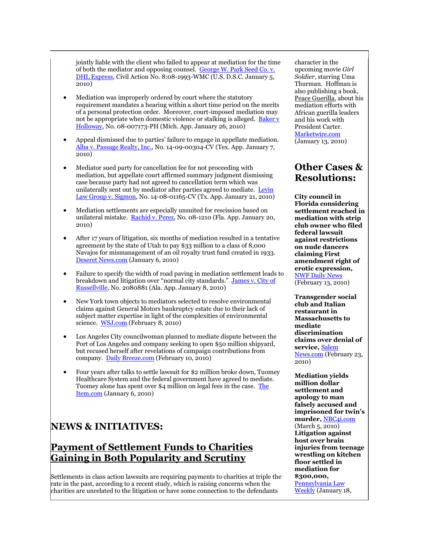jointly liable with the client who failed to appear at mediation for the time of both the mediator and opposing counsel. George W. Park Seed Co. v. [DHL Express,](http://tinyurl.com/yzp8v9t) Civil Action No. 8:08-1993-WMC (U.S. D.S.C. January 5, 2010)

- Mediation was improperly ordered by court where the statutory requirement mandates a hearing within a short time period on the merits of a personal protection order. Moreover, court-imposed mediation may not be appropriate when domestic violence or stalking is alleged. Baker v [Holloway,](http://coa.courts.mi.gov/documents/OPINIONS/FINAL/COA/20100126_C288606_43_288606.OPN.PDF) No. 08-007173-PH (Mich. App. January 26, 2010)
- Appeal dismissed due to parties' failure to engage in appellate mediation. [Alba v. Passage Realty, Inc.,](http://tinyurl.com/y8urckn) No. 14-09-00304-CV (Tex. App. January 7, 2010)
- Mediator sued party for cancellation fee for not proceeding with mediation, but appellate court affirmed summary judgment dismissing case because party had not agreed to cancellation term which was unilaterally sent out by mediator after parties agreed to mediate. Levin [Law Group v. Sigmon,](http://www.leagle.com/unsecure/page.htm?shortname=intxco20100121614) No. 14-08-01165-CV (Tx. App. January 21, 2010)
- Mediation settlements are especially unsuited for rescission based on unilateral mistake. [Rachid v. Perez,](http://tinyurl.com/yjzckb8) No. 08-1210 (Fla. App. January 20, 2010)
- After 17 years of litigation, six months of mediation resulted in a tentative agreement by the state of Utah to pay \$33 million to a class of 8,000 Navajos for mismanagement of an oil royalty trust fund created in 1933. [Deseret News.com](http://tinyurl.com/y8pomnq) (January 6, 2010)
- Failure to specify the width of road paving in mediation settlement leads to breakdown and litigation over "normal city standards." James v. City of [Russellville,](http://tinyurl.com/yd6olj5) No. 2080881 (Ala. App. January 8, 2010)
- New York town objects to mediators selected to resolve environmental claims against General Motors bankruptcy estate due to their lack of subject matter expertise in light of the complexities of environmental science. [WSJ.com](http://tinyurl.com/yex7cha) (February 8, 2010)
- Los Angeles City councilwoman planned to mediate dispute between the Port of Los Angeles and company seeking to open \$50 million shipyard, but recused herself after revelations of campaign contributions from company. [Daily Breeze.com](http://www.dailybreeze.com/news/ci_14376852) (February 10, 2010)
- Four years after talks to settle lawsuit for \$2 million broke down, Tuomey Healthcare System and the federal government have agreed to mediate. Tuomey alone has spent over \$4 million on legal fees in the case. [The](http://www.theitem.com/article/20100106/ITNEWS01/701069876/-1/ITNEWS)  [Item.com](http://www.theitem.com/article/20100106/ITNEWS01/701069876/-1/ITNEWS) (January 6, 2010)

#### **NEWS & INITIATIVES:**

#### **Payment of Settlement Funds to Charities Gaining in Both Popularity and Scrutiny**

Settlements in class action lawsuits are requiring payments to charities at triple the rate in the past, according to a recent study, which is raising concerns when the charities are unrelated to the litigation or have some connection to the defendants

character in the upcoming movie *Girl Soldier*, starring Uma Thurman. Hoffman is also publishing a book, Peace Guerilla, about his mediation efforts with African guerilla leaders and his work with President Carter. [Marketwire.com](http://tinyurl.com/yeh94p3) (January 13, 2010)

#### **Other Cases & Resolutions:**

**City council in Florida considering settlement reached in mediation with strip club owner who filed federal lawsuit against restrictions on nude dancers claiming First amendment right of erotic expression,**  [NWF Daily News](http://www.nwfdailynews.com/news/destin-25773-dining-agenda.html) (February 13, 2010)

**Transgender social club and Italian restaurant in Massachusetts to mediate discrimination claims over denial of service,** [Salem](http://www.salemnews.com/punews/local_story_053222935.html)  [News.com](http://www.salemnews.com/punews/local_story_053222935.html) (February 23, 2010)

**Mediation yields million dollar settlement and apology to man falsely accused and imprisoned for twin's murder,** [NBC4i.com](http://tinyurl.com/yc8alva) (March 5, 2010) **Litigation against host over brain injuries from teenage wrestling on kitchen floor settled in mediation for \$300,000,**  [Pennsylvania Law](http://tinyurl.com/yjreco8)  [Weekly](http://tinyurl.com/yjreco8) (January 18,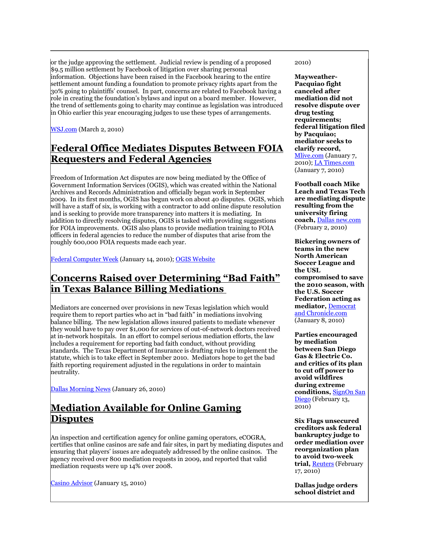or the judge approving the settlement. Judicial review is pending of a proposed \$9.5 million settlement by Facebook of litigation over sharing personal information. Objections have been raised in the Facebook hearing to the entire settlement amount funding a foundation to promote privacy rights apart from the 30% going to plaintiffs' counsel. In part, concerns are related to Facebook having a role in creating the foundation's bylaws and input on a board member. However, the trend of settlements going to charity may continue as legislation was introduced in Ohio earlier this year encouraging judges to use these types of arrangements.

[WSJ.com](http://tinyurl.com/yejbyfw) (March 2, 2010)

### **Federal Office Mediates Disputes Between FOIA Requesters and Federal Agencies**

Freedom of Information Act disputes are now being mediated by the Office of Government Information Services (OGIS), which was created within the National Archives and Records Administration and officially began work in September 2009. In its first months, OGIS has begun work on about 40 disputes. OGIS, which will have a staff of six, is working with a contractor to add online dispute resolution and is seeking to provide more transparency into matters it is mediating. In addition to directly resolving disputes, OGIS is tasked with providing suggestions for FOIA improvements. OGIS also plans to provide mediation training to FOIA officers in federal agencies to reduce the number of disputes that arise from the roughly 600,000 FOIA requests made each year.

[Federal Computer Week](http://fcw.com/articles/2010/01/14/nara-ogis.aspx) (January 14, 2010); [OGIS Website](http://www.archives.gov/ogis/)

#### **Concerns Raised over Determining "Bad Faith" in Texas Balance Billing Mediations**

Mediators are concerned over provisions in new Texas legislation which would require them to report parties who act in "bad faith" in mediations involving balance billing. The new legislation allows insured patients to mediate whenever they would have to pay over \$1,000 for services of out-of-network doctors received at in-network hospitals. In an effort to compel serious mediation efforts, the law includes a requirement for reporting bad faith conduct, without providing standards. The Texas Department of Insurance is drafting rules to implement the statute, which is to take effect in September 2010. Mediators hope to get the bad faith reporting requirement adjusted in the regulations in order to maintain neutrality.

[Dallas Morning News](http://tinyurl.com/ydevcnb) (January 26, 2010)

# **Mediation Available for Online Gaming Disputes**

An inspection and certification agency for online gaming operators, eCOGRA, certifies that online casinos are safe and fair sites, in part by mediating disputes and ensuring that players' issues are adequately addressed by the online casinos. The agency received over 800 mediation requests in 2009, and reported that valid mediation requests were up 14% over 2008.

[Casino Advisor](http://www.casinoadvisor.com/ecogra-dispute-mediation-stats-for-2009-news-item.html) (January 15, 2010)

2010)

**Mayweather-Pacquiao fight canceled after mediation did not resolve dispute over drug testing requirements; federal litigation filed by Pacquiao; mediator seeks to clarify record,**  [Mlive.com](http://www.mlive.com/mayweather/index.ssf/2010/01/mayweather-pacquiao_fight_call.html) (January 7, 2010); [LA Times.com](http://tinyurl.com/yd7usvc) (January 7, 2010)

**Football coach Mike Leach and Texas Tech are mediating dispute resulting from the university firing coach,** [Dallas new.com](http://tinyurl.com/y8evw6y) (February 2, 2010)

**Bickering owners of teams in the new North American Soccer League and the USL compromised to save the 2010 season, with the U.S. Soccer Federation acting as mediator,** [Democrat](http://www.democratandchronicle.com/article/20100108/SPORTS05/1080332/1007/SPORTS)  [and Chronicle.com](http://www.democratandchronicle.com/article/20100108/SPORTS05/1080332/1007/SPORTS) (January 8, 2010)

**Parties encouraged by mediation between San Diego Gas & Electric Co. and critics of its plan to cut off power to avoid wildfires during extreme conditions,** [SignOn San](http://tinyurl.com/ye9543p)  [Diego](http://tinyurl.com/ye9543p) (February 13, 2010)

**Six Flags unsecured creditors ask federal bankruptcy judge to order mediation over reorganization plan to avoid two-week trial,** [Reuters](http://www.reuters.com/article/idUSTRE61G3AS20100217) (February 17, 2010)

**Dallas judge orders school district and**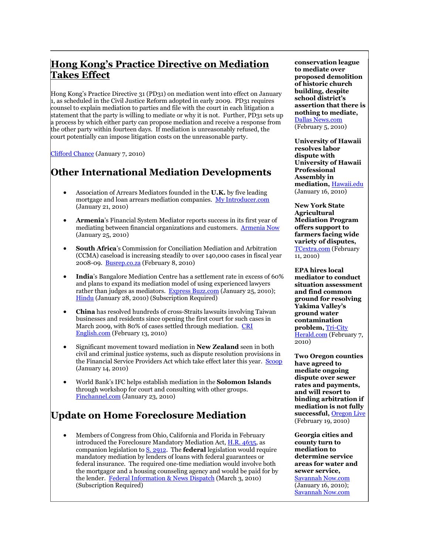# **Hong Kong's Practice Directive on Mediation Takes Effect**

Hong Kong's Practice Directive 31 (PD31) on mediation went into effect on January 1, as scheduled in the Civil Justice Reform adopted in early 2009. PD31 requires counsel to explain mediation to parties and file with the court in each litigation a statement that the party is willing to mediate or why it is not. Further,  $\overrightarrow{PD}_{31}$  sets up a process by which either party can propose mediation and receive a response from the other party within fourteen days. If mediation is unreasonably refused, the court potentially can impose litigation costs on the unreasonable party.

[Clifford Chance](http://tinyurl.com/y928wsd) (January 7, 2010)

### **Other International Mediation Developments**

- Association of Arrears Mediators founded in the **U.K.** by five leading mortgage and loan arrears mediation companies. [My Introducer.com](http://www.myintroducer.com/view.asp?ID=2259) (January 21, 2010)
- **Armenia**'s Financial System Mediator reports success in its first year of mediating between financial organizations and customers. [Armenia Now](http://armenianow.com/economy/20537/financial_mediator_one_year_in_office) (January 25, 2010)
- **South Africa**'s Commission for Conciliation Mediation and Arbitration (CCMA) caseload is increasing steadily to over 140,000 cases in fiscal year 2008-09. [Busrep.co.za](http://www.busrep.co.za/index.php?fSectionId=552&fArticleId=5342783) (February 8, 2010)
- **India**'s Bangalore Mediation Centre has a settlement rate in excess of 60% and plans to expand its mediation model of using experienced lawyers rather than judges as mediators. [Express Buzz.com](http://tinyurl.com/ybz4dug) (January 25, 2010); [Hindu](http://tinyurl.com/yhbeb5e) (January 28, 2010) (Subscription Required)
- **China** has resolved hundreds of cross-Straits lawsuits involving Taiwan businesses and residents since opening the first court for such cases in March 2009, with 80% of cases settled through mediation. CRI [English.com](http://english.cri.cn/6909/2010/02/13/1461s550246.htm) (February 13, 2010)
- Significant movement toward mediation in **New Zealand** seen in both civil and criminal justice systems, such as dispute resolution provisions in the Financial Service Providers Act which take effect later this year. [Scoop](http://www.scoop.co.nz/stories/BU1001/S00153.htm) (January 14, 2010)
- World Bank's IFC helps establish mediation in the **Solomon Islands** through workshop for court and consulting with other groups. [Finchannel.com](http://tinyurl.com/y9uc24r) (January 23, 2010)

# **Update on Home Foreclosure Mediation**

 Members of Congress from Ohio, California and Florida in February introduced the Foreclosure Mandatory Mediation Act, [H.R. 4635,](http://thomas.loc.gov/cgi-bin/query/z?c111:H.R.4635:) as companion legislation t[o S. 2912.](http://www.gpo.gov/fdsys/pkg/BILLS-111s2912IS/pdf/BILLS-111s2912IS.pdf) The **federal** legislation would require mandatory mediation by lenders of loans with federal guarantees or federal insurance. The required one-time mediation would involve both the mortgagor and a housing counseling agency and would be paid for by the lender. [Federal Information & News Dispatch](http://tinyurl.com/ycvdv5w) (March 3, 2010) (Subscription Required)

**conservation league to mediate over proposed demolition of historic church building, despite school district's assertion that there is nothing to mediate,**  [Dallas News.com](http://oakcliffblog.dallasnews.com/archives/2010/02/judge-orders-mediation-in-chur.html) (February 5, 2010)

**University of Hawaii resolves labor dispute with University of Hawaii Professional Assembly in mediation,** [Hawaii.edu](http://www.hawaii.edu/news/article.php?aId=3342) (January 16, 2010)

**New York State Agricultural Mediation Program offers support to farmers facing wide variety of disputes,**  [TCextra.com](http://tinyurl.com/ylo6xra) (February 11, 2010)

**EPA hires local mediator to conduct situation assessment and find common ground for resolving Yakima Valley's ground water contamination problem,** [Tri-City](http://tinyurl.com/y9pxqu2)  [Herald.com](http://tinyurl.com/y9pxqu2) (February 7, 2010)

**Two Oregon counties have agreed to mediate ongoing dispute over sewer rates and payments, and will resort to binding arbitration if mediation is not fully successful,** [Oregon Live](http://tinyurl.com/y9msxan) (February 19, 2010)

**Georgia cities and county turn to mediation to determine service areas for water and sewer service,**  [Savannah Now.com](http://tinyurl.com/ydoqpfd)

(January 16, 2010); [Savannah Now.com](http://tinyurl.com/yecvwsv)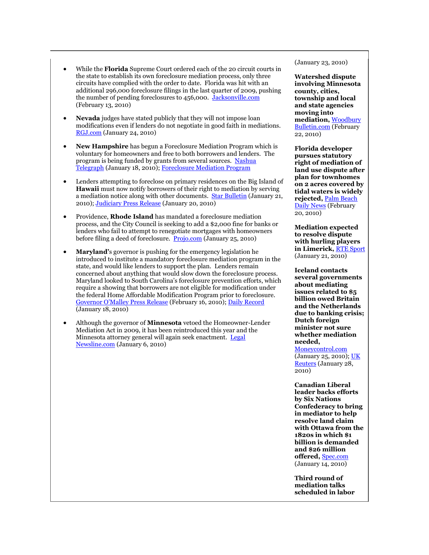- While the **Florida** Supreme Court ordered each of the 20 circuit courts in the state to establish its own foreclosure mediation process, only three circuits have complied with the order to date. Florida was hit with an additional 296,000 foreclosure filings in the last quarter of 2009, pushing the number of pending foreclosures to 456,000. [Jacksonville.com](http://tinyurl.com/yhmwkl8) (February 13, 2010)
- **Nevada** judges have stated publicly that they will not impose loan modifications even if lenders do not negotiate in good faith in mediations. [RGJ.com](http://tinyurl.com/ylrkvwh) (January 24, 2010)
- **New Hampshire** has begun a Foreclosure Mediation Program which is voluntary for homeowners and free to both borrowers and lenders. The program is being funded by grants from several sources. [Nashua](http://tinyurl.com/y9bpbba)  [Telegraph](http://tinyurl.com/y9bpbba) (January 18, 2010)[; Foreclosure Mediation Program](http://www.courts.state.nh.us/adrp/foreclosure/index.htm)
- Lenders attempting to foreclose on primary residences on the Big Island of **Hawaii** must now notify borrowers of their right to mediation by serving a mediation notice along with other documents. [Star Bulletin](http://www.starbulletin.com/business/20100121_business_briefs.html) (January 21, 2010)[; Judiciary Press Release](http://www.courts.state.hi.us/news_and_reports/press_releases/2010/01/foreclosure_mediation.html) (January 20, 2010)
- Providence, **Rhode Island** has mandated a foreclosure mediation process, and the City Council is seeking to add a \$2,000 fine for banks or lenders who fail to attempt to renegotiate mortgages with homeowners before filing a deed of foreclosure. [Projo.com](http://www.projo.com/news/content/FORECLOSURE_AMENDMENTS_01-25-10_M6H76KL_v13.36f3b2c.html) (January 25, 2010)
- **Maryland'**s governor is pushing for the emergency legislation he introduced to institute a mandatory foreclosure mediation program in the state, and would like lenders to support the plan. Lenders remain concerned about anything that would slow down the foreclosure process. Maryland looked to South Carolina's foreclosure prevention efforts, which require a showing that borrowers are not eligible for modification under the federal Home Affordable Modification Program prior to foreclosure. [Governor O'Malley Press Release](http://www.governor.maryland.gov/pressreleases/100216.asp) (February 16, 2010)[; Daily Record](http://findarticles.com/p/articles/mi_qn4183/is_20100118/ai_n48728983/) (January 18, 2010)
- Although the governor of **Minnesota** vetoed the Homeowner-Lender Mediation Act in 2009, it has been reintroduced this year and the Minnesota attorney general will again seek enactment. [Legal](http://www.legalnewsline.com/news/224859-swanson-pushes-again-for-foreclosure-mediation-program)  [Newsline.com](http://www.legalnewsline.com/news/224859-swanson-pushes-again-for-foreclosure-mediation-program) (January 6, 2010)

(January 23, 2010)

**Watershed dispute involving Minnesota county, cities, township and local and state agencies moving into mediation,** [Woodbury](http://www.woodburybulletin.com/event/article/id/34130/group/home/)  [Bulletin.com](http://www.woodburybulletin.com/event/article/id/34130/group/home/) (February 22, 2010)

**Florida developer pursues statutory right of mediation of land use dispute after plan for townhomes on 2 acres covered by tidal waters is widely rejected,** [Palm Beach](http://tinyurl.com/ycu3se5)  [Daily News](http://tinyurl.com/ycu3se5) (February 20, 2010)

**Mediation expected to resolve dispute with hurling players in Limerick,** [RTE Sport](http://www.rte.ie/sport/gaa/championship/2010/0121/limerick.html) (January 21, 2010)

**Iceland contacts several governments about mediating issues related to \$5 billion owed Britain and the Netherlands due to banking crisis; Dutch foreign minister not sure whether mediation needed,** 

[Moneycontrol.com](http://tinyurl.com/ya6zlpc) (January 25, 2010)[; UK](http://uk.reuters.com/article/idUKLDE60R1X020100128)  [Reuters](http://uk.reuters.com/article/idUKLDE60R1X020100128) (January 28, 2010)

**Canadian Liberal leader backs efforts by Six Nations Confederacy to bring in mediator to help resolve land claim with Ottawa from the 1820s in which \$1 billion is demanded and \$26 million offered,** [Spec.com](http://www.thespec.com/News/Local/article/704771) (January 14, 2010)

**Third round of mediation talks scheduled in labor**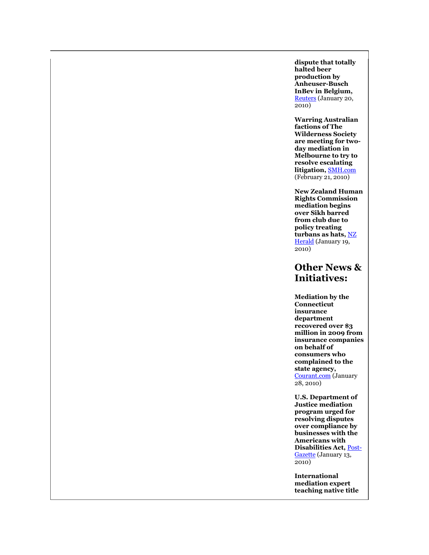**dispute that totally halted beer production by Anheuser-Busch InBev in Belgium,**  [Reuters](http://www.reuters.com/article/idUSLDE60J04D20100120?type=marketsNews) (January 20, 2010)

**Warring Australian factions of The Wilderness Society are meeting for twoday mediation in Melbourne to try to resolve escalating litigation,** [SMH.com](http://www.smh.com.au/environment/wilderness-factions-to-meet-20100220-oms0.html) (February 21, 2010)

**New Zealand Human Rights Commission mediation begins over Sikh barred from club due to policy treating turbans as hats,** [NZ](http://tinyurl.com/yc6bvtr)  [Herald](http://tinyurl.com/yc6bvtr) (January 19, 2010)

#### **Other News & Initiatives:**

**Mediation by the Connecticut insurance department recovered over \$3 million in 2009 from insurance companies on behalf of consumers who complained to the state agency,**  [Courant.com](http://tinyurl.com/yc9fo6q) (January 28, 2010)

**U.S. Department of Justice mediation program urged for resolving disputes over compliance by businesses with the Americans with Disabilities Act,** [Post-](http://www.post-gazette.com/pg/10013/1027674-431.stm)[Gazette](http://www.post-gazette.com/pg/10013/1027674-431.stm) (January 13,  $\overline{2010}$ 

**International mediation expert teaching native title**